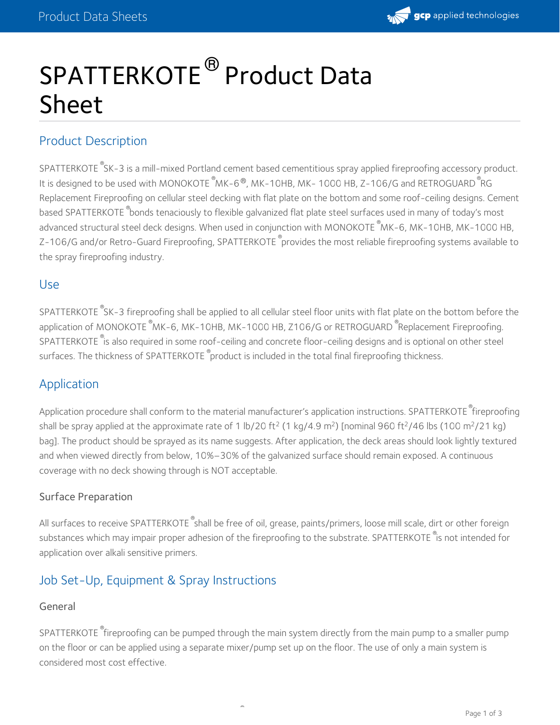

# SPATTERKOTE<sup>®</sup> Product Data Sheet

# Product Description

SPATTERKOTE SK-3 is a mill-mixed Portland cement based cementitious spray applied fireproofing accessory product. It is designed to be used with MONOKOTE  $^\circ$ MK-6  $^\circ$ , MK-10HB, MK- 1000 HB, Z-106/G and RETROGUARD  $^\circ$ RG Replacement Fireproofing on cellular steel decking with flat plate on the bottom and some roof-ceiling designs. Cement based SPATTERKOTE <sup>®</sup>bonds tenaciously to flexible galvanized flat plate steel surfaces used in many of today's most advanced structural steel deck designs. When used in conjunction with MONOKOTE  $^\circ$ MK-6, MK-10HB, MK-1000 HB, Z-106/G and/or Retro-Guard Fireproofing, SPATTERKOTE <sup>®</sup>provides the most reliable fireproofing systems available to the spray fireproofing industry.

## Use

SPATTERKOTE  $^\circ$ SK-3 fireproofing shall be applied to all cellular steel floor units with flat plate on the bottom before the application of MONOKOTE <sup>®</sup>MK-6, MK-10HB, MK-1000 HB, Z106/G or RETROGUARD <sup>®</sup>Replacement Fireproofing.  $\mathsf{SPATHERKOTE}^{\mathsf{\$}}$  is also required in some roof-ceiling and concrete floor-ceiling designs and is optional on other steel surfaces. The thickness of SPATTERKOTE  $^\circ$ product is included in the total final fireproofing thickness.

## Application

Application procedure shall conform to the material manufacturer's application instructions. SPATTERKOTE <sup>®</sup>fireproofing shall be spray applied at the approximate rate of 1 lb/20 ft<sup>2</sup> (1 kg/4.9 m<sup>2</sup>) [nominal 960 ft<sup>2</sup>/46 lbs (100 m<sup>2</sup>/21 kg) bag]. The product should be sprayed as its name suggests. After application, the deck areas should look lightly textured and when viewed directly from below, 10%–30% of the galvanized surface should remain exposed. A continuous coverage with no deck showing through is NOT acceptable.

## Surface Preparation

All surfaces to receive SPATTERKOTE  $^\circ$ shall be free of oil, grease, paints/primers, loose mill scale, dirt or other foreign substances which may impair proper adhesion of the fireproofing to the substrate. SPATTERKOTE <sup>®</sup>is not intended for application over alkali sensitive primers.

# Job Set-Up, Equipment & Spray Instructions

#### General

 $\mathsf{SPATHERKOTE}^{\mathsf{\#}}$ fireproofing can be pumped through the main system directly from the main pump to a smaller pump on the floor or can be applied using a separate mixer/pump set up on the floor. The use of only a main system is considered most cost effective.

®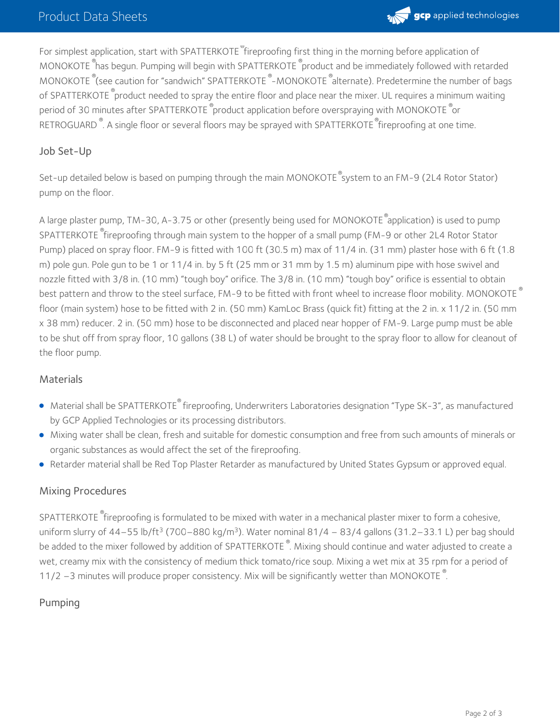

For simplest application, start with SPATTERKOTE <sup>w</sup>fireproofing first thing in the morning before application of MONOKOTE <sup>®</sup>has begun. Pumping will begin with SPATTERKOTE <sup>®</sup>product and be immediately followed with retarded MONOKOTE (See caution for "sandwich" SPATTERKOTE  $^{\circ}$ -MONOKOTE  $^{\circ}$ alternate). Predetermine the number of bags of SPATTERKOTE  $^\circ$ product needed to spray the entire floor and place near the mixer. UL requires a minimum waiting period of 30 minutes after SPATTERKOTE  $^\circ$ product application before overspraying with MONOKOTE  $^\circ$ or RETROGUARD<sup>®</sup>. A single floor or several floors may be sprayed with SPATTERKOTE®fireproofing at one time.

#### Job Set-Up

Set-up detailed below is based on pumping through the main MONOKOTE  $^\circ$ system to an FM-9 (2L4 Rotor Stator) pump on the floor.

A large plaster pump, TM-30, A-3.75 or other (presently being used for MONOKOTE  $^\circ$ application) is used to pump SPATTERKOTE  $^{\circ}$ fireproofing through main system to the hopper of a small pump (FM-9 or other 2L4 Rotor Stator Pump) placed on spray floor. FM-9 is fitted with 100 ft (30.5 m) max of 11/4 in. (31 mm) plaster hose with 6 ft (1.8 m) pole gun. Pole gun to be 1 or 11/4 in. by 5 ft (25 mm or 31 mm by 1.5 m) aluminum pipe with hose swivel and nozzle fitted with 3/8 in. (10 mm) "tough boy" orifice. The 3/8 in. (10 mm) "tough boy" orifice is essential to obtain best pattern and throw to the steel surface, FM-9 to be fitted with front wheel to increase floor mobility. MONOKOTE  $^\circ$ floor (main system) hose to be fitted with 2 in. (50 mm) KamLoc Brass (quick fit) fitting at the 2 in. x 11/2 in. (50 mm x 38 mm) reducer. 2 in. (50 mm) hose to be disconnected and placed near hopper of FM-9. Large pump must be able to be shut off from spray floor, 10 gallons (38 L) of water should be brought to the spray floor to allow for cleanout of the floor pump.

#### **Materials**

- Material shall be SPATTERKOTE® fireproofing, Underwriters Laboratories designation "Type SK-3", as manufactured by GCP Applied Technologies or its processing distributors.
- Mixing water shall be clean, fresh and suitable for domestic consumption and free from such amounts of minerals or organic substances as would affect the set of the fireproofing.
- Retarder material shall be Red Top Plaster Retarder as manufactured by United States Gypsum or approved equal.

#### Mixing Procedures

SPATTERKOTE  $^{\circ}$ fireproofing is formulated to be mixed with water in a mechanical plaster mixer to form a cohesive, uniform slurry of 44–55 lb/ft<sup>3</sup> (700–880 kg/m<sup>3</sup>). Water nominal 81/4 – 83/4 gallons (31.2–33.1 L) per bag should be added to the mixer followed by addition of SPATTERKOTE  $^\circ$ . Mixing should continue and water adjusted to create a wet, creamy mix with the consistency of medium thick tomato/rice soup. Mixing a wet mix at 35 rpm for a period of 11/2 -3 minutes will produce proper consistency. Mix will be significantly wetter than MONOKOTE<sup>®</sup>.

#### Pumping